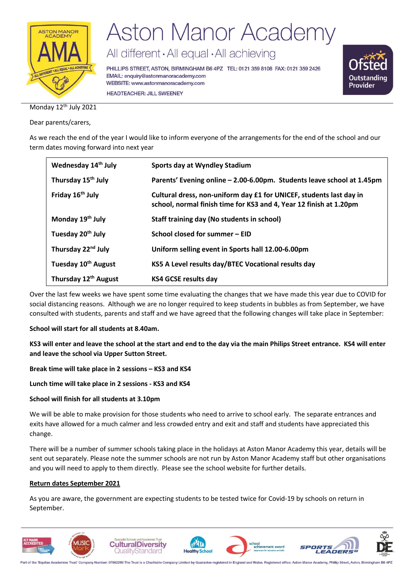

All different · All equal · All achieving

PHILLIPS STREET, ASTON, BIRMINGHAM B6 4PZ TEL: 0121 359 8108 FAX: 0121 359 2426 EMAIL: enquiry@astonmanoracademy.com WEBSITE: www.astonmanoracademy.com **HEADTEACHER: JILL SWEENEY** 



Monday 12<sup>th</sup> July 2021

Dear parents/carers,

As we reach the end of the year I would like to inform everyone of the arrangements for the end of the school and our term dates moving forward into next year

| Wednesday 14 <sup>th</sup> July  | Sports day at Wyndley Stadium                                                                                                             |  |
|----------------------------------|-------------------------------------------------------------------------------------------------------------------------------------------|--|
| Thursday 15 <sup>th</sup> July   | Parents' Evening online - 2.00-6.00pm. Students leave school at 1.45pm                                                                    |  |
| Friday 16 <sup>th</sup> July     | Cultural dress, non-uniform day £1 for UNICEF, students last day in<br>school, normal finish time for KS3 and 4, Year 12 finish at 1.20pm |  |
| Monday 19 <sup>th</sup> July     | <b>Staff training day (No students in school)</b>                                                                                         |  |
| Tuesday 20 <sup>th</sup> July    | School closed for summer - EID                                                                                                            |  |
| Thursday 22 <sup>nd</sup> July   | Uniform selling event in Sports hall 12.00-6.00pm                                                                                         |  |
| Tuesday 10 <sup>th</sup> August  | KS5 A Level results day/BTEC Vocational results day                                                                                       |  |
| Thursday 12 <sup>th</sup> August | <b>KS4 GCSE results day</b>                                                                                                               |  |

Over the last few weeks we have spent some time evaluating the changes that we have made this year due to COVID for social distancing reasons. Although we are no longer required to keep students in bubbles as from September, we have consulted with students, parents and staff and we have agreed that the following changes will take place in September:

#### **School will start for all students at 8.40am.**

**KS3 will enter and leave the school at the start and end to the day via the main Philips Street entrance. KS4 will enter and leave the school via Upper Sutton Street.**

**Break time will take place in 2 sessions – KS3 and KS4**

**Lunch time will take place in 2 sessions - KS3 and KS4**

#### **School will finish for all students at 3.10pm**

We will be able to make provision for those students who need to arrive to school early. The separate entrances and exits have allowed for a much calmer and less crowded entry and exit and staff and students have appreciated this change.

There will be a number of summer schools taking place in the holidays at Aston Manor Academy this year, details will be sent out separately. Please note the summer schools are not run by Aston Manor Academy staff but other organisations and you will need to apply to them directly. Please see the school website for further details.

#### **Return dates September 2021**

As you are aware, the government are expecting students to be tested twice for Covid-19 by schools on return in September.



Part of the 'Equitas Academies Trust' Company Number: 07662289 The Trust is a Charitable Company Limited by Guarantee registered in England and Wales. Registered office: Aston Manor Acad my, Phillip Street, Aston, Birming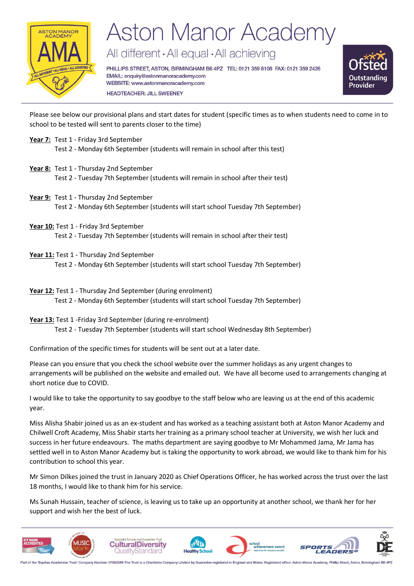

All different · All equal · All achieving

PHILLIPS STREET, ASTON, BIRMINGHAM B6 4PZ TEL: 0121 359 8108 FAX: 0121 359 2426 EMAIL: enquiry@astonmanoracademy.com WEBSITE: www.astonmanoracademy.com **HEADTEACHER: JILL SWEENEY** 



Please see below our provisional plans and start dates for student (specific times as to when students need to come in to school to be tested will sent to parents closer to the time)

- **Year 7:** Test 1 Friday 3rd September
	- Test 2 Monday 6th September (students will remain in school after this test)
- **Year 8:** Test 1 Thursday 2nd September Test 2 - Tuesday 7th September (students will remain in school after their test)
- **Year 9:** Test 1 Thursday 2nd September Test 2 - Monday 6th September (students will start school Tuesday 7th September)
- **Year 10:** Test 1 Friday 3rd September

Test 2 - Tuesday 7th September (students will remain in school after their test)

**Year 11:** Test 1 - Thursday 2nd September

Test 2 - Monday 6th September (students will start school Tuesday 7th September)

- **Year 12:** Test 1 Thursday 2nd September (during enrolment) Test 2 - Monday 6th September (students will start school Tuesday 7th September)
- **Year 13:** Test 1 -Friday 3rd September (during re-enrolment) Test 2 - Tuesday 7th September (students will start school Wednesday 8th September)

Confirmation of the specific times for students will be sent out at a later date.

Please can you ensure that you check the school website over the summer holidays as any urgent changes to arrangements will be published on the website and emailed out. We have all become used to arrangements changing at short notice due to COVID.

I would like to take the opportunity to say goodbye to the staff below who are leaving us at the end of this academic year.

Miss Alisha Shabir joined us as an ex-student and has worked as a teaching assistant both at Aston Manor Academy and Chilwell Croft Academy, Miss Shabir starts her training as a primary school teacher at University, we wish her luck and success in her future endeavours. The maths department are saying goodbye to Mr Mohammed Jama, Mr Jama has settled well in to Aston Manor Academy but is taking the opportunity to work abroad, we would like to thank him for his contribution to school this year.

Mr Simon Dilkes joined the trust in January 2020 as Chief Operations Officer, he has worked across the trust over the last 18 months, I would like to thank him for his service.

Ms Sunah Hussain, teacher of science, is leaving us to take up an opportunity at another school, we thank her for her support and wish her the best of luck.



Part of the 'Equitas Academies Trust' Company Number: 07662289 The Trust is a Charitable Company Limited by Guarantee registered in England and Wales. Registered office: Aston Manor Academy, Phillip Street, Aston, Birming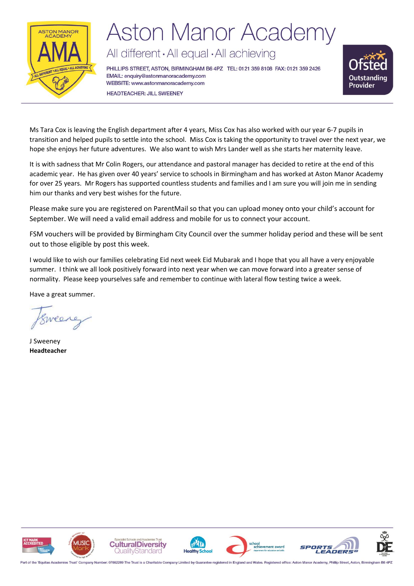

All different · All equal · All achieving

PHILLIPS STREET, ASTON, BIRMINGHAM B6 4PZ TEL: 0121 359 8108 FAX: 0121 359 2426 EMAIL: enquiry@astonmanoracademy.com WEBSITE: www.astonmanoracademy.com **HEADTEACHER: JILL SWEENEY** 



Ms Tara Cox is leaving the English department after 4 years, Miss Cox has also worked with our year 6-7 pupils in transition and helped pupils to settle into the school. Miss Cox is taking the opportunity to travel over the next year, we hope she enjoys her future adventures. We also want to wish Mrs Lander well as she starts her maternity leave.

It is with sadness that Mr Colin Rogers, our attendance and pastoral manager has decided to retire at the end of this academic year. He has given over 40 years' service to schools in Birmingham and has worked at Aston Manor Academy for over 25 years. Mr Rogers has supported countless students and families and I am sure you will join me in sending him our thanks and very best wishes for the future.

Please make sure you are registered on ParentMail so that you can upload money onto your child's account for September. We will need a valid email address and mobile for us to connect your account.

FSM vouchers will be provided by Birmingham City Council over the summer holiday period and these will be sent out to those eligible by post this week.

I would like to wish our families celebrating Eid next week Eid Mubarak and I hope that you all have a very enjoyable summer. I think we all look positively forward into next year when we can move forward into a greater sense of normality. Please keep yourselves safe and remember to continue with lateral flow testing twice a week.

Have a great summer.

wea

J Sweeney **Headteacher**